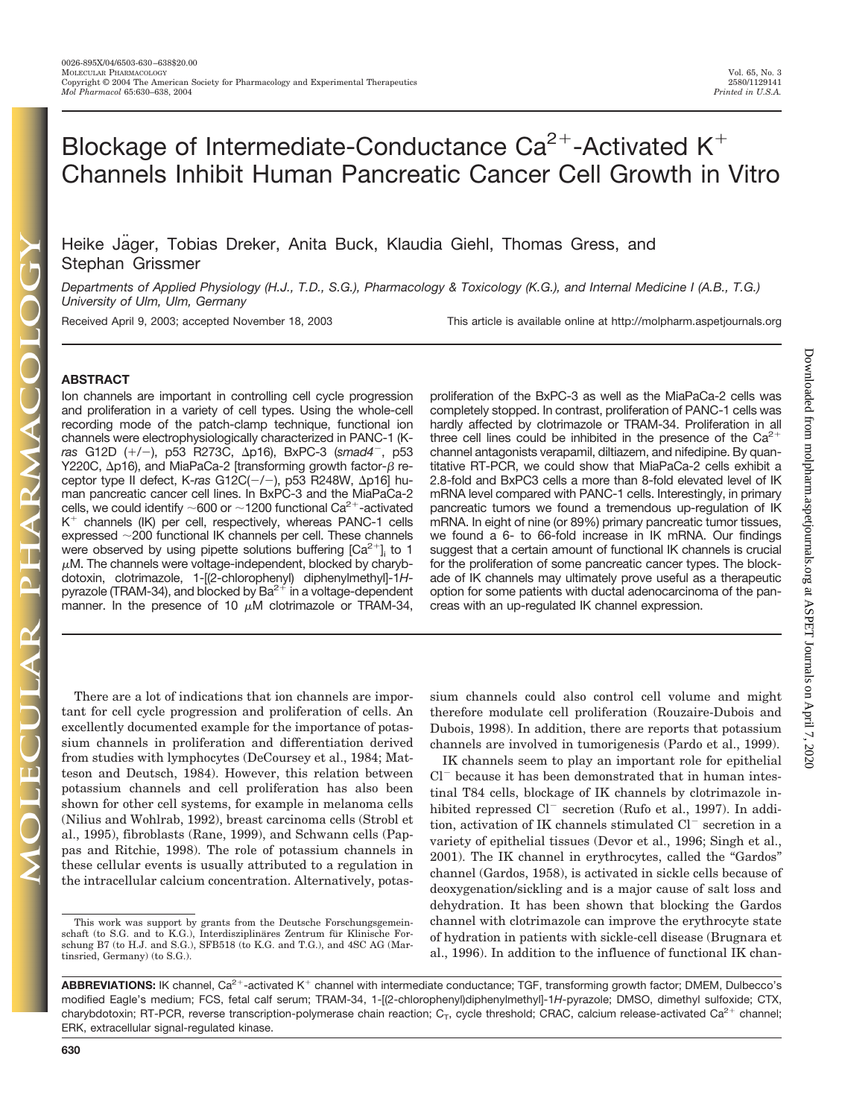# Blockage of Intermediate-Conductance  $Ca^{2+}$ -Activated K<sup>+</sup> Channels Inhibit Human Pancreatic Cancer Cell Growth in Vitro

Heike Jager, Tobias Dreker, Anita Buck, Klaudia Giehl, Thomas Gress, and Stephan Grissmer

*Departments of Applied Physiology (H.J., T.D., S.G.), Pharmacology & Toxicology (K.G.), and Internal Medicine I (A.B., T.G.) University of Ulm, Ulm, Germany*

Received April 9, 2003; accepted November 18, 2003 This article is available online at http://molpharm.aspetjournals.org

## **ABSTRACT**

Ion channels are important in controlling cell cycle progression and proliferation in a variety of cell types. Using the whole-cell recording mode of the patch-clamp technique, functional ion channels were electrophysiologically characterized in PANC-1 (K*ras* G12D (/-), p53 R273C, p16), BxPC-3 (*smad4*-, p53 Y220C,  $\Delta$ p16), and MiaPaCa-2 [transforming growth factor- $\beta$  receptor type II defect, K-ras G12C(-/-), p53 R248W, Δp16] human pancreatic cancer cell lines. In BxPC-3 and the MiaPaCa-2 cells, we could identify  $\sim$  600 or  $\sim$  1200 functional Ca<sup>2+</sup>-activated  $K^+$  channels (IK) per cell, respectively, whereas PANC-1 cells expressed  $\sim$ 200 functional IK channels per cell. These channels were observed by using pipette solutions buffering  $[Ca^{2+}]$  to 1  $\mu$ M. The channels were voltage-independent, blocked by charybdotoxin, clotrimazole, 1-[(2-chlorophenyl) diphenylmethyl]-1*H*pyrazole (TRAM-34), and blocked by  $Ba^{2+}$  in a voltage-dependent manner. In the presence of 10  $\mu$ M clotrimazole or TRAM-34,

proliferation of the BxPC-3 as well as the MiaPaCa-2 cells was completely stopped. In contrast, proliferation of PANC-1 cells was hardly affected by clotrimazole or TRAM-34. Proliferation in all three cell lines could be inhibited in the presence of the  $Ca^{2+}$ channel antagonists verapamil, diltiazem, and nifedipine. By quantitative RT-PCR, we could show that MiaPaCa-2 cells exhibit a 2.8-fold and BxPC3 cells a more than 8-fold elevated level of IK mRNA level compared with PANC-1 cells. Interestingly, in primary pancreatic tumors we found a tremendous up-regulation of IK mRNA. In eight of nine (or 89%) primary pancreatic tumor tissues, we found a 6- to 66-fold increase in IK mRNA. Our findings suggest that a certain amount of functional IK channels is crucial for the proliferation of some pancreatic cancer types. The blockade of IK channels may ultimately prove useful as a therapeutic option for some patients with ductal adenocarcinoma of the pancreas with an up-regulated IK channel expression.

There are a lot of indications that ion channels are important for cell cycle progression and proliferation of cells. An excellently documented example for the importance of potassium channels in proliferation and differentiation derived from studies with lymphocytes (DeCoursey et al., 1984; Matteson and Deutsch, 1984). However, this relation between potassium channels and cell proliferation has also been shown for other cell systems, for example in melanoma cells (Nilius and Wohlrab, 1992), breast carcinoma cells (Strobl et al., 1995), fibroblasts (Rane, 1999), and Schwann cells (Pappas and Ritchie, 1998). The role of potassium channels in these cellular events is usually attributed to a regulation in the intracellular calcium concentration. Alternatively, potassium channels could also control cell volume and might therefore modulate cell proliferation (Rouzaire-Dubois and Dubois, 1998). In addition, there are reports that potassium channels are involved in tumorigenesis (Pardo et al., 1999).

IK channels seem to play an important role for epithelial Cl<sup>-</sup> because it has been demonstrated that in human intestinal T84 cells, blockage of IK channels by clotrimazole inhibited repressed Cl<sup>-</sup> secretion (Rufo et al., 1997). In addition, activation of IK channels stimulated Cl<sup>-</sup> secretion in a variety of epithelial tissues (Devor et al., 1996; Singh et al., 2001). The IK channel in erythrocytes, called the "Gardos" channel (Gardos, 1958), is activated in sickle cells because of deoxygenation/sickling and is a major cause of salt loss and dehydration. It has been shown that blocking the Gardos channel with clotrimazole can improve the erythrocyte state of hydration in patients with sickle-cell disease (Brugnara et al., 1996). In addition to the influence of functional IK chan-

This work was support by grants from the Deutsche Forschungsgemeinschaft (to S.G. and to K.G.), Interdisziplinäres Zentrum für Klinische Forschung B7 (to H.J. and S.G.), SFB518 (to K.G. and T.G.), and 4SC AG (Martinsried, Germany) (to S.G.).

ABBREVIATIONS: IK channel, Ca<sup>2+</sup>-activated K<sup>+</sup> channel with intermediate conductance; TGF, transforming growth factor; DMEM, Dulbecco's modified Eagle's medium; FCS, fetal calf serum; TRAM-34, 1-[(2-chlorophenyl)diphenylmethyl]-1*H*-pyrazole; DMSO, dimethyl sulfoxide; CTX, charybdotoxin; RT-PCR, reverse transcription-polymerase chain reaction;  $C_T$ , cycle threshold; CRAC, calcium release-activated Ca<sup>2+</sup> channel; ERK, extracellular signal-regulated kinase.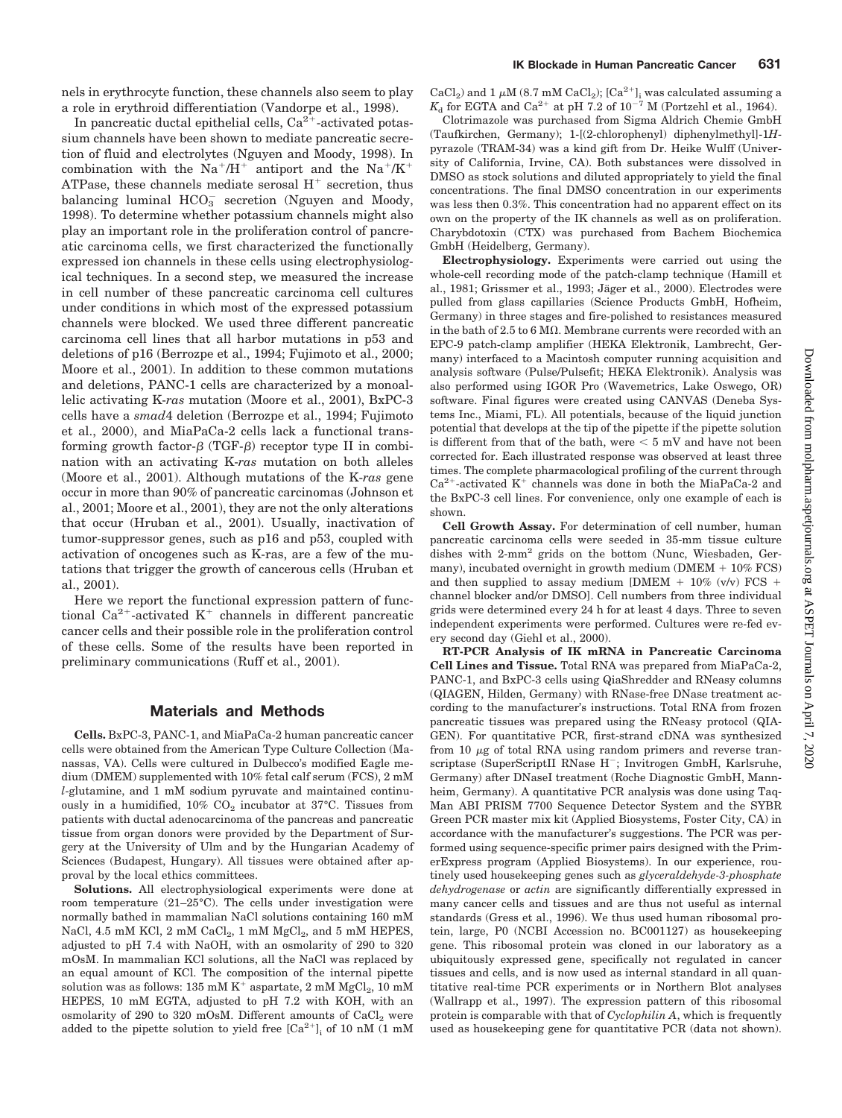nels in erythrocyte function, these channels also seem to play a role in erythroid differentiation (Vandorpe et al., 1998).

In pancreatic ductal epithelial cells,  $Ca<sup>2+</sup>$ -activated potassium channels have been shown to mediate pancreatic secretion of fluid and electrolytes (Nguyen and Moody, 1998). In combination with the  $Na^+/H^+$  antiport and the  $Na^+/K^+$ ATPase, these channels mediate serosal  $H<sup>+</sup>$  secretion, thus balancing luminal  $HCO_3^-$  secretion (Nguyen and Moody, 1998). To determine whether potassium channels might also play an important role in the proliferation control of pancreatic carcinoma cells, we first characterized the functionally expressed ion channels in these cells using electrophysiological techniques. In a second step, we measured the increase in cell number of these pancreatic carcinoma cell cultures under conditions in which most of the expressed potassium channels were blocked. We used three different pancreatic carcinoma cell lines that all harbor mutations in p53 and deletions of p16 (Berrozpe et al., 1994; Fujimoto et al., 2000; Moore et al., 2001). In addition to these common mutations and deletions, PANC-1 cells are characterized by a monoallelic activating K-*ras* mutation (Moore et al., 2001), BxPC-3 cells have a *smad*4 deletion (Berrozpe et al., 1994; Fujimoto et al., 2000), and MiaPaCa-2 cells lack a functional transforming growth factor- $\beta$  (TGF- $\beta$ ) receptor type II in combination with an activating K-*ras* mutation on both alleles (Moore et al., 2001). Although mutations of the K-*ras* gene occur in more than 90% of pancreatic carcinomas (Johnson et al., 2001; Moore et al., 2001), they are not the only alterations that occur (Hruban et al., 2001). Usually, inactivation of tumor-suppressor genes, such as p16 and p53, coupled with activation of oncogenes such as K-ras, are a few of the mutations that trigger the growth of cancerous cells (Hruban et al., 2001).

Here we report the functional expression pattern of functional Ca<sup>2+</sup>-activated K<sup>+</sup> channels in different pancreatic cancer cells and their possible role in the proliferation control of these cells. Some of the results have been reported in preliminary communications (Ruff et al., 2001).

## **Materials and Methods**

**Cells.** BxPC-3, PANC-1, and MiaPaCa-2 human pancreatic cancer cells were obtained from the American Type Culture Collection (Manassas, VA). Cells were cultured in Dulbecco's modified Eagle medium (DMEM) supplemented with 10% fetal calf serum (FCS), 2 mM *l*-glutamine, and 1 mM sodium pyruvate and maintained continuously in a humidified,  $10\%$  CO<sub>2</sub> incubator at  $37^{\circ}$ C. Tissues from patients with ductal adenocarcinoma of the pancreas and pancreatic tissue from organ donors were provided by the Department of Surgery at the University of Ulm and by the Hungarian Academy of Sciences (Budapest, Hungary). All tissues were obtained after approval by the local ethics committees.

**Solutions.** All electrophysiological experiments were done at room temperature (21–25°C). The cells under investigation were normally bathed in mammalian NaCl solutions containing 160 mM NaCl, 4.5 mM KCl, 2 mM  $CaCl<sub>2</sub>$ , 1 mM  $MgCl<sub>2</sub>$ , and 5 mM HEPES, adjusted to pH 7.4 with NaOH, with an osmolarity of 290 to 320 mOsM. In mammalian KCl solutions, all the NaCl was replaced by an equal amount of KCl. The composition of the internal pipette solution was as follows: 135 mM  $K^+$  aspartate, 2 mM  $MgCl<sub>2</sub>$ , 10 mM HEPES, 10 mM EGTA, adjusted to pH 7.2 with KOH, with an osmolarity of 290 to 320 mOsM. Different amounts of  $CaCl<sub>2</sub>$  were added to the pipette solution to yield free  $[Ca^{2+}]$ <sub>i</sub> of 10 nM (1 mM

 $\rm CaCl_2)$  and 1  $\mu\rm M$   $(8.7\text{ }\rm{mM~CaCl_2});$   $\rm [Ca^{2+}]_i$  was calculated assuming a  $K_{\rm d}$  for EGTA and Ca<sup>2+</sup> at pH 7.2 of  $10^{-7}$  M (Portzehl et al., 1964). Clotrimazole was purchased from Sigma Aldrich Chemie GmbH (Taufkirchen, Germany); 1-[(2-chlorophenyl) diphenylmethyl]-1*H*pyrazole (TRAM-34) was a kind gift from Dr. Heike Wulff (University of California, Irvine, CA). Both substances were dissolved in DMSO as stock solutions and diluted appropriately to yield the final concentrations. The final DMSO concentration in our experiments was less then 0.3%. This concentration had no apparent effect on its own on the property of the IK channels as well as on proliferation.

Charybdotoxin (CTX) was purchased from Bachem Biochemica

GmbH (Heidelberg, Germany). **Electrophysiology.** Experiments were carried out using the whole-cell recording mode of the patch-clamp technique (Hamill et al., 1981; Grissmer et al., 1993; Jäger et al., 2000). Electrodes were pulled from glass capillaries (Science Products GmbH, Hofheim, Germany) in three stages and fire-polished to resistances measured in the bath of 2.5 to 6 M $\Omega$ . Membrane currents were recorded with an EPC-9 patch-clamp amplifier (HEKA Elektronik, Lambrecht, Germany) interfaced to a Macintosh computer running acquisition and analysis software (Pulse/Pulsefit; HEKA Elektronik). Analysis was also performed using IGOR Pro (Wavemetrics, Lake Oswego, OR) software. Final figures were created using CANVAS (Deneba Systems Inc., Miami, FL). All potentials, because of the liquid junction potential that develops at the tip of the pipette if the pipette solution is different from that of the bath, were  $\leq 5$  mV and have not been corrected for. Each illustrated response was observed at least three times. The complete pharmacological profiling of the current through  $Ca^{2+}$ -activated K<sup>+</sup> channels was done in both the MiaPaCa-2 and the BxPC-3 cell lines. For convenience, only one example of each is shown.

**Cell Growth Assay.** For determination of cell number, human pancreatic carcinoma cells were seeded in 35-mm tissue culture dishes with 2-mm2 grids on the bottom (Nunc, Wiesbaden, Germany), incubated overnight in growth medium ( $DMEM + 10\% FCS$ ) and then supplied to assay medium [DMEM  $+$  10% (v/v) FCS  $+$ channel blocker and/or DMSO]. Cell numbers from three individual grids were determined every 24 h for at least 4 days. Three to seven independent experiments were performed. Cultures were re-fed every second day (Giehl et al., 2000).

**RT-PCR Analysis of IK mRNA in Pancreatic Carcinoma Cell Lines and Tissue.** Total RNA was prepared from MiaPaCa-2, PANC-1, and BxPC-3 cells using QiaShredder and RNeasy columns (QIAGEN, Hilden, Germany) with RNase-free DNase treatment according to the manufacturer's instructions. Total RNA from frozen pancreatic tissues was prepared using the RNeasy protocol (QIA-GEN). For quantitative PCR, first-strand cDNA was synthesized from 10  $\mu$ g of total RNA using random primers and reverse transcriptase (SuperScriptII RNase H<sup>-</sup>; Invitrogen GmbH, Karlsruhe, Germany) after DNaseI treatment (Roche Diagnostic GmbH, Mannheim, Germany). A quantitative PCR analysis was done using Taq-Man ABI PRISM 7700 Sequence Detector System and the SYBR Green PCR master mix kit (Applied Biosystems, Foster City, CA) in accordance with the manufacturer's suggestions. The PCR was performed using sequence-specific primer pairs designed with the PrimerExpress program (Applied Biosystems). In our experience, routinely used housekeeping genes such as *glyceraldehyde-3-phosphate dehydrogenase* or *actin* are significantly differentially expressed in many cancer cells and tissues and are thus not useful as internal standards (Gress et al., 1996). We thus used human ribosomal protein, large, P0 (NCBI Accession no. BC001127) as housekeeping gene. This ribosomal protein was cloned in our laboratory as a ubiquitously expressed gene, specifically not regulated in cancer tissues and cells, and is now used as internal standard in all quantitative real-time PCR experiments or in Northern Blot analyses (Wallrapp et al., 1997). The expression pattern of this ribosomal protein is comparable with that of *Cyclophilin A*, which is frequently used as housekeeping gene for quantitative PCR (data not shown).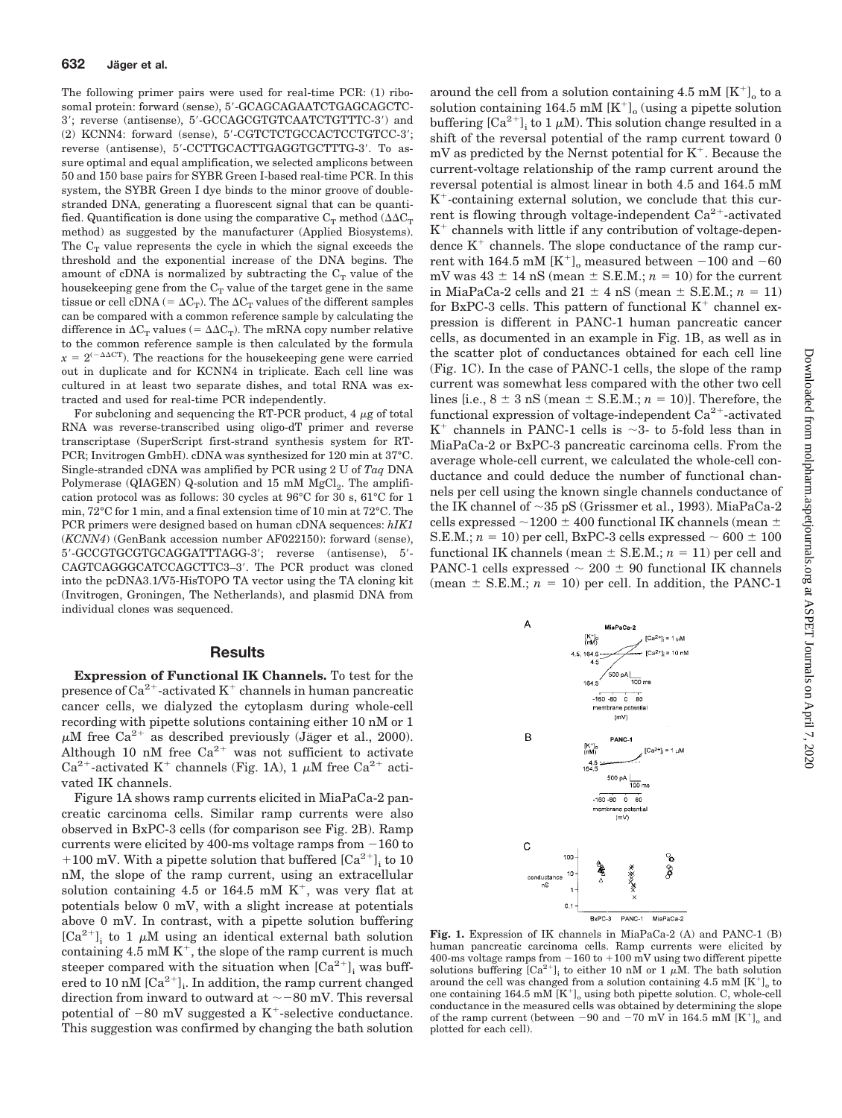The following primer pairs were used for real-time PCR: (1) ribosomal protein: forward (sense), 5'-GCAGCAGAATCTGAGCAGCTC-3; reverse (antisense), 5-GCCAGCGTGTCAATCTGTTTC-3) and (2) KCNN4: forward (sense), 5-CGTCTCTGCCACTCCTGTCC-3; reverse (antisense), 5'-CCTTGCACTTGAGGTGCTTTG-3'. To assure optimal and equal amplification, we selected amplicons between 50 and 150 base pairs for SYBR Green I-based real-time PCR. In this system, the SYBR Green I dye binds to the minor groove of doublestranded DNA, generating a fluorescent signal that can be quantified. Quantification is done using the comparative  $C_T$  method  $(\Delta \Delta C_T)$ method) as suggested by the manufacturer (Applied Biosystems). The  $C_T$  value represents the cycle in which the signal exceeds the threshold and the exponential increase of the DNA begins. The amount of cDNA is normalized by subtracting the  $C_T$  value of the housekeeping gene from the  $C_T$  value of the target gene in the same tissue or cell cDNA (=  $\Delta C_T$ ). The  $\Delta C_T$  values of the different samples can be compared with a common reference sample by calculating the difference in  $\Delta C_T$  values (=  $\Delta \Delta C_T$ ). The mRNA copy number relative to the common reference sample is then calculated by the formula  $x = 2^{(-\Delta \Delta C T)}$ . The reactions for the housekeeping gene were carried out in duplicate and for KCNN4 in triplicate. Each cell line was cultured in at least two separate dishes, and total RNA was extracted and used for real-time PCR independently.

For subcloning and sequencing the RT-PCR product,  $4 \mu$ g of total RNA was reverse-transcribed using oligo-dT primer and reverse transcriptase (SuperScript first-strand synthesis system for RT-PCR; Invitrogen GmbH). cDNA was synthesized for 120 min at 37°C. Single-stranded cDNA was amplified by PCR using 2 U of *Taq* DNA Polymerase (QIAGEN) Q-solution and  $15 \text{ mM } \text{MgCl}_2$ . The amplification protocol was as follows: 30 cycles at 96°C for 30 s, 61°C for 1 min, 72°C for 1 min, and a final extension time of 10 min at 72°C. The PCR primers were designed based on human cDNA sequences: *hIK1* (*KCNN4*) (GenBank accession number AF022150): forward (sense), 5-GCCGTGCGTGCAGGATTTAGG-3; reverse (antisense), 5- CAGTCAGGGCATCCAGCTTC3-3'. The PCR product was cloned into the pcDNA3.1/V5-HisTOPO TA vector using the TA cloning kit (Invitrogen, Groningen, The Netherlands), and plasmid DNA from individual clones was sequenced.

#### **Results**

**Expression of Functional IK Channels.** To test for the presence of  $Ca^{2+}$ -activated  $K^+$  channels in human pancreatic cancer cells, we dialyzed the cytoplasm during whole-cell recording with pipette solutions containing either 10 nM or 1  $\mu$ M free Ca<sup>2+</sup> as described previously (Jäger et al., 2000). Although 10 nM free  $Ca^{2+}$  was not sufficient to activate Ca<sup>2+</sup>-activated K<sup>+</sup> channels (Fig. 1A), 1  $\mu$ M free Ca<sup>2+</sup> activated IK channels.

Figure 1A shows ramp currents elicited in MiaPaCa-2 pancreatic carcinoma cells. Similar ramp currents were also observed in BxPC-3 cells (for comparison see Fig. 2B). Ramp currents were elicited by 400-ms voltage ramps from  $-160$  to +100 mV. With a pipette solution that buffered  $[\text{Ca}^{2+}]$ <sub>i</sub> to 10 nM, the slope of the ramp current, using an extracellular solution containing 4.5 or 164.5 mM  $K^+$ , was very flat at potentials below 0 mV, with a slight increase at potentials above 0 mV. In contrast, with a pipette solution buffering  $[Ca^{2+}]$ <sub>i</sub> to 1  $\mu$ M using an identical external bath solution containing 4.5 mM  $K^+$ , the slope of the ramp current is much steeper compared with the situation when  $[Ca^{2+}]$ ; was buffered to 10 nM  $\left[{\rm Ca}^{2+}\right]_i$ . In addition, the ramp current changed direction from inward to outward at  $\sim$  – 80 mV. This reversal potential of  $-80$  mV suggested a K<sup>+</sup>-selective conductance. This suggestion was confirmed by changing the bath solution

solution containing 164.5 mM  $[K^+]$ <sub>o</sub> (using a pipette solution buffering  $\left[Ca^{2+}\right]_i$  to 1  $\mu$ M). This solution change resulted in a shift of the reversal potential of the ramp current toward 0  $mV$  as predicted by the Nernst potential for  $K^+$ . Because the current-voltage relationship of the ramp current around the reversal potential is almost linear in both 4.5 and 164.5 mM  $K^+$ -containing external solution, we conclude that this current is flowing through voltage-independent  $Ca^{2+}$ -activated  $K<sup>+</sup>$  channels with little if any contribution of voltage-dependence  $K^+$  channels. The slope conductance of the ramp current with  $164.5 \text{ mM } [\text{K}^+]$ <sub>o</sub> measured between  $-100$  and  $-60$ mV was  $43 \pm 14$  nS (mean  $\pm$  S.E.M.;  $n = 10$ ) for the current in MiaPaCa-2 cells and  $21 \pm 4$  nS (mean  $\pm$  S.E.M.;  $n = 11$ ) for BxPC-3 cells. This pattern of functional  $K^+$  channel expression is different in PANC-1 human pancreatic cancer cells, as documented in an example in Fig. 1B, as well as in the scatter plot of conductances obtained for each cell line (Fig. 1C). In the case of PANC-1 cells, the slope of the ramp current was somewhat less compared with the other two cell lines [i.e.,  $8 \pm 3$  nS (mean  $\pm$  S.E.M.;  $n = 10$ )]. Therefore, the functional expression of voltage-independent  $Ca^{2+}$ -activated  $K^+$  channels in PANC-1 cells is  $\sim$ 3- to 5-fold less than in MiaPaCa-2 or BxPC-3 pancreatic carcinoma cells. From the average whole-cell current, we calculated the whole-cell conductance and could deduce the number of functional channels per cell using the known single channels conductance of the IK channel of  $\sim$ 35 pS (Grissmer et al., 1993). MiaPaCa-2 cells expressed  $\sim$ 1200  $\pm$  400 functional IK channels (mean  $\pm$ S.E.M.;  $n = 10$ ) per cell, BxPC-3 cells expressed  $\sim 600 \pm 100$ functional IK channels (mean  $\pm$  S.E.M.;  $n = 11$ ) per cell and PANC-1 cells expressed  $\sim 200 \pm 90$  functional IK channels (mean  $\pm$  S.E.M.;  $n = 10$ ) per cell. In addition, the PANC-1

around the cell from a solution containing 4.5 mM  $[K^+]$ <sub>o</sub> to a



**Fig. 1.** Expression of IK channels in MiaPaCa-2 (A) and PANC-1 (B) human pancreatic carcinoma cells. Ramp currents were elicited by 400-ms voltage ramps from  $-160$  to  $+100$  mV using two different pipette solutions buffering  $[Ca^{2+}]$  to either 10 nM or 1  $\mu$ M. The bath solution around the cell was changed from a solution containing 4.5 mM  $[K^+]$  to one containing  $164.5 \text{ mM } [\text{K}^+]$ <sub>o</sub> using both pipette solution. C, whole-cell conductance in the measured cells was obtained by determining the slope of the ramp current (between  $-90$  and  $-70$  mV in 164.5 mM  $[K^+]$ <sub>o</sub> and plotted for each cell).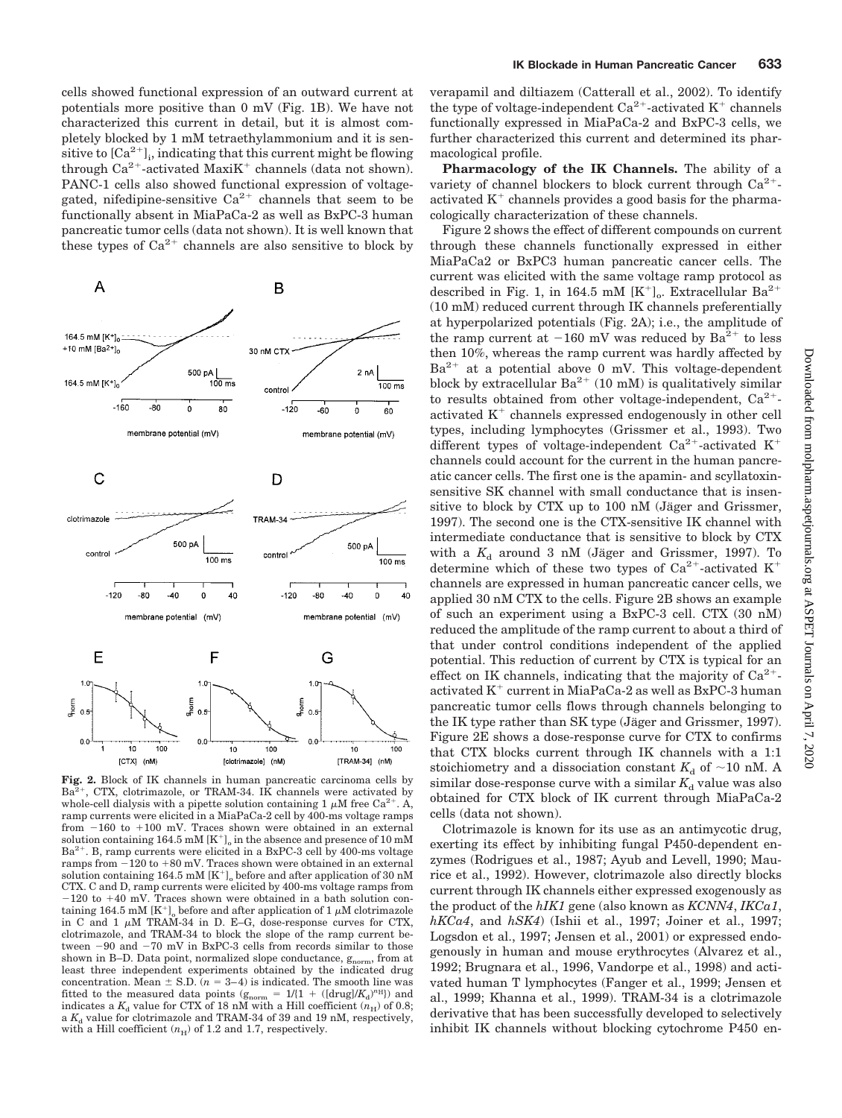cells showed functional expression of an outward current at potentials more positive than 0 mV (Fig. 1B). We have not characterized this current in detail, but it is almost completely blocked by 1 mM tetraethylammonium and it is sensitive to  ${[Ca^{2+}]}_i$ , indicating that this current might be flowing through  $Ca^{2+}$ -activated Maxi $K^+$  channels (data not shown). PANC-1 cells also showed functional expression of voltagegated, nifedipine-sensitive  $Ca^{2+}$  channels that seem to be functionally absent in MiaPaCa-2 as well as BxPC-3 human pancreatic tumor cells (data not shown). It is well known that these types of  $Ca^{2+}$  channels are also sensitive to block by

B

 $\overline{A}$ 

164.5 mM [K<sup>+</sup>]<sub>c</sub> +10 mM  $[Ba^{2+}]_0$ 30 nM CTX 500 pA  $2nA$ 164.5 mM [K<sup>+</sup>]  $100 \text{ ms}$  $\frac{100}{3}$  ms control  $-160$  $-80$  $\mathbf 0$ 80 -120  $-60$  $\dot{0}$  $60$ membrane potential (mV) membrane potential (mV) C D clotrimazol TRAM-34 500 pA 500 pA control control  $\frac{100}{100}$  ms 100 ms  $-120$ -80  $-40$  $\mathbf 0$ 40  $-120$ -80  $-40$  $\mathbf 0$ 40 membrane potential (mV) membrane potential (mV) F Ε G  $1.0$ morm<br>Po 9<br>அம் ے<br>م  $0.5$  $0.5$  $0.5$  $0.0$  $0.0$  $0.0$  $\frac{1}{10}$  $100$  $\frac{1}{10}$  $100$  $10$ 100 [TRAM-34] (nM) ICTXI (nM) fclotrimazole] (nM)

**Fig. 2.** Block of IK channels in human pancreatic carcinoma cells by  $Ba<sup>2+</sup>$ , CTX, clotrimazole, or TRAM-34. IK channels were activated by whole-cell dialysis with a pipette solution containing 1  $\mu$ M free Ca<sup>2+</sup>. A, ramp currents were elicited in a MiaPaCa-2 cell by 400-ms voltage ramps from  $-160$  to  $+100$  mV. Traces shown were obtained in an external solution containing  $164.5 \text{ mM } [\text{K}^+]$  in the absence and presence of 10 mM  $Ba^{2+}$ . B, ramp currents were elicited in a BxPC-3 cell by 400-ms voltage  $r$ amps from  $-120$  to  $+80$  mV. Traces shown were obtained in an external solution containing 164.5 mM  $[K^+]$ <sub>o</sub> before and after application of 30 nM CTX. C and D, ramp currents were elicited by 400-ms voltage ramps from  $-120$  to  $+40$  mV. Traces shown were obtained in a bath solution containing 164.5 mM  $[K^+]$ <sub>o</sub> before and after application of 1  $\mu$ M clotrimazole in C and 1  $\mu$ M TRAM-34 in D. E–G, dose-response curves for CTX, clotrimazole, and TRAM-34 to block the slope of the ramp current between -90 and -70 mV in BxPC-3 cells from records similar to those shown in B–D. Data point, normalized slope conductance,  $g_{\text{norm}}$ , from at least three independent experiments obtained by the indicated drug concentration. Mean  $\pm$  S.D. ( $n = 3-4$ ) is indicated. The smooth line was fitted to the measured data points  $(g_{norm} = 1/(1 + ([drug]/K_d)^{nH})$  and indicates a  $K_d$  value for CTX of 18 nM with a Hill coefficient  $(n_H)$  of 0.8; a  $K_d$  value for clotrimazole and TRAM-34 of 39 and 19 nM, respectively, with a Hill coefficient  $(n_H)$  of 1.2 and 1.7, respectively.

verapamil and diltiazem (Catterall et al., 2002). To identify the type of voltage-independent  $Ca^{2+}$ -activated K<sup>+</sup> channels functionally expressed in MiaPaCa-2 and BxPC-3 cells, we further characterized this current and determined its pharmacological profile.

**Pharmacology of the IK Channels.** The ability of a variety of channel blockers to block current through  $Ca^{2+}$ activated  $K^+$  channels provides a good basis for the pharmacologically characterization of these channels.

Figure 2 shows the effect of different compounds on current through these channels functionally expressed in either MiaPaCa2 or BxPC3 human pancreatic cancer cells. The current was elicited with the same voltage ramp protocol as described in Fig. 1, in 164.5 mM  $[K^+]$ <sub>o</sub>. Extracellular Ba<sup>2+</sup> (10 mM) reduced current through IK channels preferentially at hyperpolarized potentials (Fig. 2A); i.e., the amplitude of the ramp current at  $-160$  mV was reduced by  $Ba^{2+}$  to less then 10%, whereas the ramp current was hardly affected by  $Ba^{2+}$  at a potential above 0 mV. This voltage-dependent block by extracellular  $Ba^{2+}$  (10 mM) is qualitatively similar to results obtained from other voltage-independent,  $Ca^{2+}$ activated  $K<sup>+</sup>$  channels expressed endogenously in other cell types, including lymphocytes (Grissmer et al., 1993). Two different types of voltage-independent Ca<sup>2+</sup>-activated K<sup>+</sup> channels could account for the current in the human pancreatic cancer cells. The first one is the apamin- and scyllatoxinsensitive SK channel with small conductance that is insensitive to block by CTX up to  $100$  nM (Jäger and Grissmer, 1997). The second one is the CTX-sensitive IK channel with intermediate conductance that is sensitive to block by CTX with a  $K_d$  around 3 nM (Jäger and Grissmer, 1997). To determine which of these two types of  $Ca^{2+}$ -activated K<sup>+</sup> channels are expressed in human pancreatic cancer cells, we applied 30 nM CTX to the cells. Figure 2B shows an example of such an experiment using a BxPC-3 cell. CTX (30 nM) reduced the amplitude of the ramp current to about a third of that under control conditions independent of the applied potential. This reduction of current by CTX is typical for an effect on IK channels, indicating that the majority of  $Ca^{2+}$ activated  $K^+$  current in MiaPaCa-2 as well as BxPC-3 human pancreatic tumor cells flows through channels belonging to the IK type rather than SK type (Jäger and Grissmer, 1997). Figure 2E shows a dose-response curve for CTX to confirms that CTX blocks current through IK channels with a 1:1 stoichiometry and a dissociation constant  $K_d$  of  $\sim$ 10 nM. A similar dose-response curve with a similar  $K_d$  value was also obtained for CTX block of IK current through MiaPaCa-2 cells (data not shown).

Clotrimazole is known for its use as an antimycotic drug, exerting its effect by inhibiting fungal P450-dependent enzymes (Rodrigues et al., 1987; Ayub and Levell, 1990; Maurice et al., 1992). However, clotrimazole also directly blocks current through IK channels either expressed exogenously as the product of the *hIK1* gene (also known as *KCNN4*, *IKCa1*, *hKCa4*, and *hSK4*) (Ishii et al., 1997; Joiner et al., 1997; Logsdon et al., 1997; Jensen et al., 2001) or expressed endogenously in human and mouse erythrocytes (Alvarez et al., 1992; Brugnara et al., 1996, Vandorpe et al., 1998) and activated human T lymphocytes (Fanger et al., 1999; Jensen et al., 1999; Khanna et al., 1999). TRAM-34 is a clotrimazole derivative that has been successfully developed to selectively inhibit IK channels without blocking cytochrome P450 en-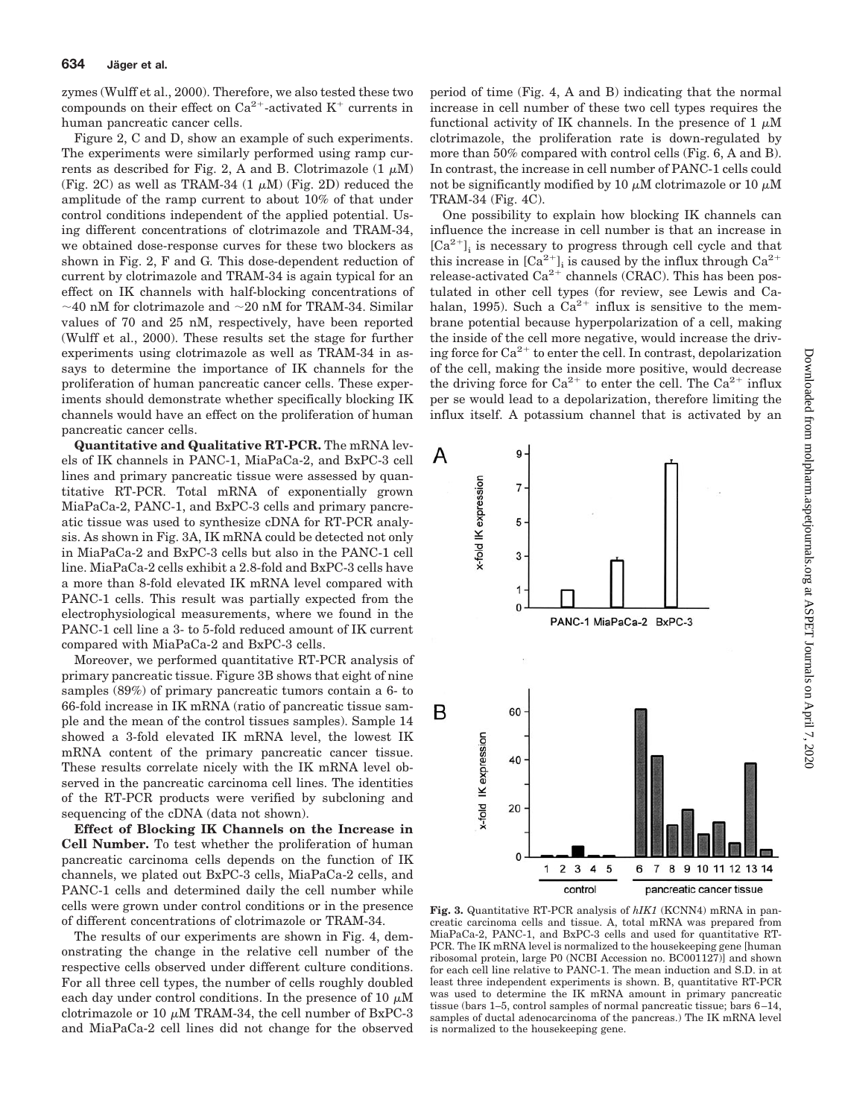zymes (Wulff et al., 2000). Therefore, we also tested these two compounds on their effect on  $Ca^{2+}$ -activated  $K^+$  currents in human pancreatic cancer cells.

Figure 2, C and D, show an example of such experiments. The experiments were similarly performed using ramp currents as described for Fig. 2, A and B. Clotrimazole  $(1 \mu M)$ (Fig. 2C) as well as TRAM-34  $(1 \mu M)$  (Fig. 2D) reduced the amplitude of the ramp current to about 10% of that under control conditions independent of the applied potential. Using different concentrations of clotrimazole and TRAM-34, we obtained dose-response curves for these two blockers as shown in Fig. 2, F and G*.* This dose-dependent reduction of current by clotrimazole and TRAM-34 is again typical for an effect on IK channels with half-blocking concentrations of  $\sim$ 40 nM for clotrimazole and  $\sim$ 20 nM for TRAM-34. Similar values of 70 and 25 nM, respectively, have been reported (Wulff et al., 2000). These results set the stage for further experiments using clotrimazole as well as TRAM-34 in assays to determine the importance of IK channels for the proliferation of human pancreatic cancer cells. These experiments should demonstrate whether specifically blocking IK channels would have an effect on the proliferation of human pancreatic cancer cells.

**Quantitative and Qualitative RT-PCR.** The mRNA levels of IK channels in PANC-1, MiaPaCa-2, and BxPC-3 cell lines and primary pancreatic tissue were assessed by quantitative RT-PCR. Total mRNA of exponentially grown MiaPaCa-2, PANC-1, and BxPC-3 cells and primary pancreatic tissue was used to synthesize cDNA for RT-PCR analysis. As shown in Fig. 3A, IK mRNA could be detected not only in MiaPaCa-2 and BxPC-3 cells but also in the PANC-1 cell line. MiaPaCa-2 cells exhibit a 2.8-fold and BxPC-3 cells have a more than 8-fold elevated IK mRNA level compared with PANC-1 cells. This result was partially expected from the electrophysiological measurements, where we found in the PANC-1 cell line a 3- to 5-fold reduced amount of IK current compared with MiaPaCa-2 and BxPC-3 cells.

Moreover, we performed quantitative RT-PCR analysis of primary pancreatic tissue. Figure 3B shows that eight of nine samples (89%) of primary pancreatic tumors contain a 6- to 66-fold increase in IK mRNA (ratio of pancreatic tissue sample and the mean of the control tissues samples). Sample 14 showed a 3-fold elevated IK mRNA level, the lowest IK mRNA content of the primary pancreatic cancer tissue. These results correlate nicely with the IK mRNA level observed in the pancreatic carcinoma cell lines. The identities of the RT-PCR products were verified by subcloning and sequencing of the cDNA (data not shown).

**Effect of Blocking IK Channels on the Increase in Cell Number.** To test whether the proliferation of human pancreatic carcinoma cells depends on the function of IK channels, we plated out BxPC-3 cells, MiaPaCa-2 cells, and PANC-1 cells and determined daily the cell number while cells were grown under control conditions or in the presence of different concentrations of clotrimazole or TRAM-34.

The results of our experiments are shown in Fig. 4, demonstrating the change in the relative cell number of the respective cells observed under different culture conditions. For all three cell types, the number of cells roughly doubled each day under control conditions. In the presence of 10  $\mu$ M clotrimazole or 10  $\mu$ M TRAM-34, the cell number of BxPC-3 and MiaPaCa-2 cell lines did not change for the observed

period of time (Fig. 4, A and B) indicating that the normal increase in cell number of these two cell types requires the functional activity of IK channels. In the presence of 1  $\mu$ M clotrimazole, the proliferation rate is down-regulated by more than 50% compared with control cells (Fig. 6, A and B). In contrast, the increase in cell number of PANC-1 cells could not be significantly modified by 10  $\mu{\rm M}$  clotrimazole or 10  $\mu{\rm M}$ TRAM-34 (Fig. 4C).

One possibility to explain how blocking IK channels can influence the increase in cell number is that an increase in  $[Ca^{2+}]$ ; is necessary to progress through cell cycle and that this increase in  $[Ca^{2+}]_i$  is caused by the influx through  $Ca^{2+}$ release-activated  $Ca^{2+}$  channels (CRAC). This has been postulated in other cell types (for review, see Lewis and Cahalan, 1995). Such a  $Ca^{2+}$  influx is sensitive to the membrane potential because hyperpolarization of a cell, making the inside of the cell more negative, would increase the driving force for  $Ca^{2+}$  to enter the cell. In contrast, depolarization of the cell, making the inside more positive, would decrease the driving force for  $Ca^{2+}$  to enter the cell. The  $Ca^{2+}$  influx per se would lead to a depolarization, therefore limiting the influx itself. A potassium channel that is activated by an



**Fig. 3.** Quantitative RT-PCR analysis of *hIK1* (KCNN4) mRNA in pancreatic carcinoma cells and tissue. A, total mRNA was prepared from MiaPaCa-2, PANC-1, and BxPC-3 cells and used for quantitative RT-PCR. The IK mRNA level is normalized to the housekeeping gene [human ribosomal protein, large P0 (NCBI Accession no. BC001127)] and shown for each cell line relative to PANC-1. The mean induction and S.D. in at least three independent experiments is shown. B, quantitative RT-PCR was used to determine the IK mRNA amount in primary pancreatic tissue (bars 1–5, control samples of normal pancreatic tissue; bars 6–14, samples of ductal adenocarcinoma of the pancreas.) The IK mRNA level is normalized to the housekeeping gene.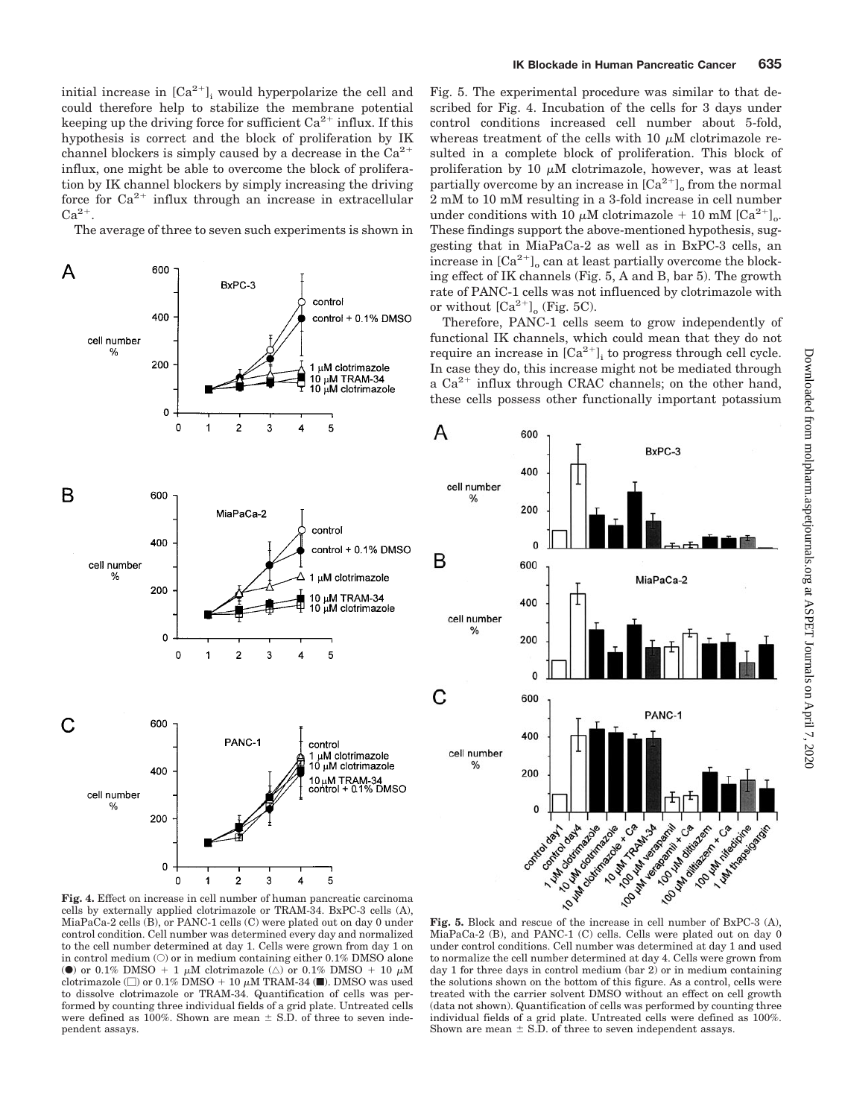initial increase in  $[Ca^{2+}]$ , would hyperpolarize the cell and could therefore help to stabilize the membrane potential keeping up the driving force for sufficient  $Ca^{2+}$  influx. If this hypothesis is correct and the block of proliferation by IK channel blockers is simply caused by a decrease in the  $Ca^{2+}$ influx, one might be able to overcome the block of proliferation by IK channel blockers by simply increasing the driving force for  $Ca^{2+}$  influx through an increase in extracellular  $Ca^{2+}$ .

The average of three to seven such experiments is shown in



Fig. 5. The experimental procedure was similar to that described for Fig. 4. Incubation of the cells for 3 days under control conditions increased cell number about 5-fold, whereas treatment of the cells with 10  $\mu$ M clotrimazole resulted in a complete block of proliferation. This block of proliferation by 10  $\mu$ M clotrimazole, however, was at least partially overcome by an increase in  ${[Ca^{2+}]}_o$  from the normal 2 mM to 10 mM resulting in a 3-fold increase in cell number under conditions with 10  $\mu$ M clotrimazole + 10 mM [Ca<sup>2+</sup>]<sub>o</sub>. These findings support the above-mentioned hypothesis, suggesting that in MiaPaCa-2 as well as in BxPC-3 cells, an increase in  $[Ca^{2+}]$ <sub>o</sub> can at least partially overcome the blocking effect of IK channels (Fig. 5, A and B, bar 5). The growth rate of PANC-1 cells was not influenced by clotrimazole with or without  $\left[\text{Ca}^{2+}\right]_0$  (Fig. 5C).

Therefore, PANC-1 cells seem to grow independently of functional IK channels, which could mean that they do not require an increase in  $[Ca^{2+}]$ <sub>i</sub> to progress through cell cycle. In case they do, this increase might not be mediated through a  $Ca^{2+}$  influx through CRAC channels; on the other hand, these cells possess other functionally important potassium

A

B

C



**Fig. 4.** Effect on increase in cell number of human pancreatic carcinoma cells by externally applied clotrimazole or TRAM-34. BxPC-3 cells (A), MiaPaCa-2 cells (B), or PANC-1 cells (C) were plated out on day 0 under control condition. Cell number was determined every day and normalized to the cell number determined at day 1. Cells were grown from day 1 on in control medium  $(O)$  or in medium containing either 0.1% DMSO alone (0) or 0.1% DMSO + 1  $\mu$ M clotrimazole ( $\triangle$ ) or 0.1% DMSO + 10  $\mu$ M clotrimazole ( $\Box$ ) or 0.1% DMSO + 10  $\mu$ M TRAM-34 ( $\blacksquare$ ). DMSO was used to dissolve clotrimazole or TRAM-34. Quantification of cells was performed by counting three individual fields of a grid plate. Untreated cells were defined as 100%. Shown are mean  $\pm$  S.D. of three to seven independent assays.

MiaPaCa-2 (B), and PANC-1 (C) cells. Cells were plated out on day 0 under control conditions. Cell number was determined at day 1 and used to normalize the cell number determined at day 4. Cells were grown from day 1 for three days in control medium (bar 2) or in medium containing the solutions shown on the bottom of this figure. As a control, cells were treated with the carrier solvent DMSO without an effect on cell growth (data not shown). Quantification of cells was performed by counting three individual fields of a grid plate. Untreated cells were defined as 100%. Shown are mean  $\pm$  S.D. of three to seven independent assays.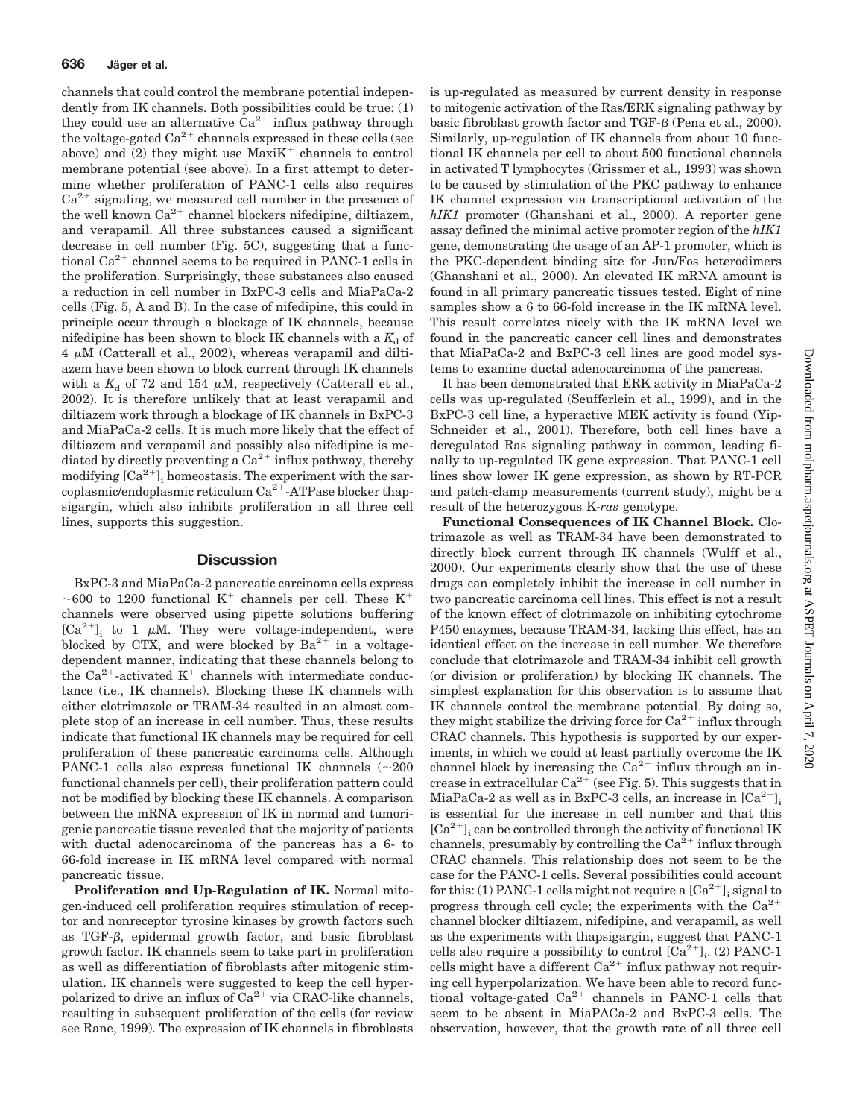channels that could control the membrane potential independently from IK channels. Both possibilities could be true: (1) they could use an alternative  $Ca^{2+}$  influx pathway through the voltage-gated  $Ca^{2+}$  channels expressed in these cells (see above) and (2) they might use  $MaxiK<sup>+</sup>$  channels to control membrane potential (see above). In a first attempt to determine whether proliferation of PANC-1 cells also requires  $Ca<sup>2+</sup>$  signaling, we measured cell number in the presence of the well known  $Ca^{2+}$  channel blockers nifedipine, diltiazem, and verapamil. All three substances caused a significant decrease in cell number (Fig. 5C), suggesting that a functional  $Ca^{2+}$  channel seems to be required in PANC-1 cells in the proliferation. Surprisingly, these substances also caused a reduction in cell number in BxPC-3 cells and MiaPaCa-2 cells (Fig. 5, A and B). In the case of nifedipine, this could in principle occur through a blockage of IK channels, because nifedipine has been shown to block IK channels with a  $K_d$  of  $4 \mu$ M (Catterall et al., 2002), whereas verapamil and diltiazem have been shown to block current through IK channels with a  $K_d$  of 72 and 154  $\mu$ M, respectively (Catterall et al., 2002). It is therefore unlikely that at least verapamil and diltiazem work through a blockage of IK channels in BxPC-3 and MiaPaCa-2 cells. It is much more likely that the effect of diltiazem and verapamil and possibly also nifedipine is mediated by directly preventing a  $Ca^{2+}$  influx pathway, thereby modifying  $[Ca^{2+}]$ , homeostasis. The experiment with the sarcoplasmic/endoplasmic reticulum  $Ca^{2+}$ -ATPase blocker thapsigargin, which also inhibits proliferation in all three cell lines, supports this suggestion.

## **Discussion**

BxPC-3 and MiaPaCa-2 pancreatic carcinoma cells express ~600 to 1200 functional K<sup>+</sup> channels per cell. These K<sup>+</sup> channels were observed using pipette solutions buffering  $[Ca^{2+}]_i$  to 1  $\mu$ M. They were voltage-independent, were blocked by CTX, and were blocked by  $Ba^{2+}$  in a voltagedependent manner, indicating that these channels belong to the Ca<sup>2+</sup>-activated  $K^+$  channels with intermediate conductance (i.e., IK channels). Blocking these IK channels with either clotrimazole or TRAM-34 resulted in an almost complete stop of an increase in cell number. Thus, these results indicate that functional IK channels may be required for cell proliferation of these pancreatic carcinoma cells. Although PANC-1 cells also express functional IK channels  $(\sim 200$ functional channels per cell), their proliferation pattern could not be modified by blocking these IK channels. A comparison between the mRNA expression of IK in normal and tumorigenic pancreatic tissue revealed that the majority of patients with ductal adenocarcinoma of the pancreas has a 6- to 66-fold increase in IK mRNA level compared with normal pancreatic tissue.

**Proliferation and Up-Regulation of IK.** Normal mitogen-induced cell proliferation requires stimulation of receptor and nonreceptor tyrosine kinases by growth factors such as TGF- $\beta$ , epidermal growth factor, and basic fibroblast growth factor. IK channels seem to take part in proliferation as well as differentiation of fibroblasts after mitogenic stimulation. IK channels were suggested to keep the cell hyperpolarized to drive an influx of  $Ca^{2+}$  via CRAC-like channels, resulting in subsequent proliferation of the cells (for review see Rane, 1999). The expression of IK channels in fibroblasts

is up-regulated as measured by current density in response to mitogenic activation of the Ras/ERK signaling pathway by basic fibroblast growth factor and TGF- $\beta$  (Pena et al., 2000). Similarly, up-regulation of IK channels from about 10 functional IK channels per cell to about 500 functional channels in activated T lymphocytes (Grissmer et al., 1993) was shown to be caused by stimulation of the PKC pathway to enhance IK channel expression via transcriptional activation of the *hIK1* promoter (Ghanshani et al., 2000). A reporter gene assay defined the minimal active promoter region of the *hIK1* gene, demonstrating the usage of an AP-1 promoter, which is the PKC-dependent binding site for Jun/Fos heterodimers (Ghanshani et al., 2000). An elevated IK mRNA amount is found in all primary pancreatic tissues tested. Eight of nine samples show a 6 to 66-fold increase in the IK mRNA level. This result correlates nicely with the IK mRNA level we found in the pancreatic cancer cell lines and demonstrates that MiaPaCa-2 and BxPC-3 cell lines are good model systems to examine ductal adenocarcinoma of the pancreas.

It has been demonstrated that ERK activity in MiaPaCa-2 cells was up-regulated (Seufferlein et al., 1999), and in the BxPC-3 cell line, a hyperactive MEK activity is found (Yip-Schneider et al., 2001). Therefore, both cell lines have a deregulated Ras signaling pathway in common, leading finally to up-regulated IK gene expression. That PANC-1 cell lines show lower IK gene expression, as shown by RT-PCR and patch-clamp measurements (current study), might be a result of the heterozygous K-*ras* genotype.

**Functional Consequences of IK Channel Block.** Clotrimazole as well as TRAM-34 have been demonstrated to directly block current through IK channels (Wulff et al., 2000). Our experiments clearly show that the use of these drugs can completely inhibit the increase in cell number in two pancreatic carcinoma cell lines. This effect is not a result of the known effect of clotrimazole on inhibiting cytochrome P450 enzymes, because TRAM-34, lacking this effect, has an identical effect on the increase in cell number. We therefore conclude that clotrimazole and TRAM-34 inhibit cell growth (or division or proliferation) by blocking IK channels. The simplest explanation for this observation is to assume that IK channels control the membrane potential. By doing so, they might stabilize the driving force for  $Ca^{2+}$  influx through CRAC channels. This hypothesis is supported by our experiments, in which we could at least partially overcome the IK channel block by increasing the  $Ca^{2+}$  influx through an increase in extracellular  $Ca^{2+}$  (see Fig. 5). This suggests that in MiaPaCa-2 as well as in BxPC-3 cells, an increase in  $[Ca^{2+}]$ ; is essential for the increase in cell number and that this  $[Ca^{2+}]$ ; can be controlled through the activity of functional IK channels, presumably by controlling the  $Ca^{2+}$  influx through CRAC channels. This relationship does not seem to be the case for the PANC-1 cells. Several possibilities could account for this: (1) PANC-1 cells might not require a  $[\text{Ca}^{2+}]$ ; signal to progress through cell cycle; the experiments with the  $Ca^{2+}$ channel blocker diltiazem, nifedipine, and verapamil, as well as the experiments with thapsigargin, suggest that PANC-1 cells also require a possibility to control  $\left[Ca^{2+}\right]_i$ . (2) PANC-1 cells might have a different  $Ca^{2+}$  influx pathway not requiring cell hyperpolarization. We have been able to record functional voltage-gated  $Ca^{2+}$  channels in PANC-1 cells that seem to be absent in MiaPACa-2 and BxPC-3 cells. The observation, however, that the growth rate of all three cell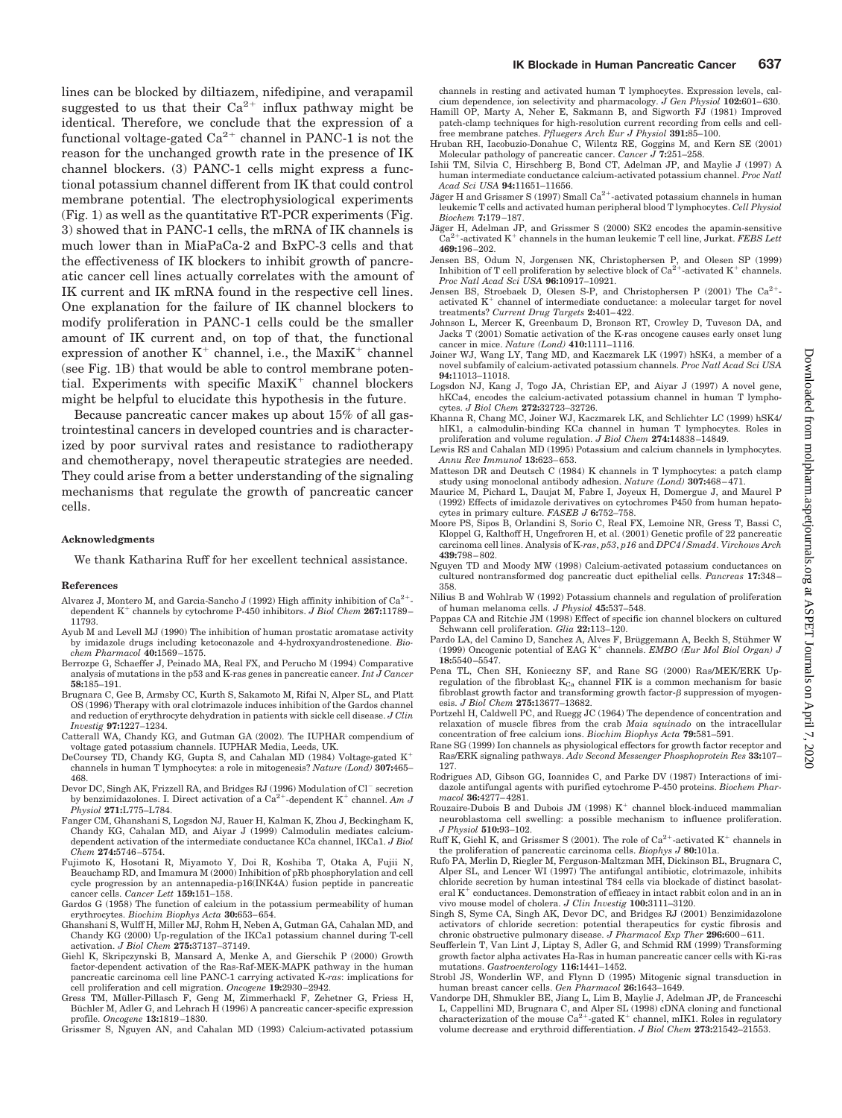lines can be blocked by diltiazem, nifedipine, and verapamil suggested to us that their  $Ca^{2+}$  influx pathway might be identical. Therefore, we conclude that the expression of a functional voltage-gated  $Ca^{2+}$  channel in PANC-1 is not the reason for the unchanged growth rate in the presence of IK channel blockers. (3) PANC-1 cells might express a functional potassium channel different from IK that could control membrane potential. The electrophysiological experiments (Fig. 1) as well as the quantitative RT-PCR experiments (Fig. 3) showed that in PANC-1 cells, the mRNA of IK channels is much lower than in MiaPaCa-2 and BxPC-3 cells and that the effectiveness of IK blockers to inhibit growth of pancreatic cancer cell lines actually correlates with the amount of IK current and IK mRNA found in the respective cell lines. One explanation for the failure of IK channel blockers to modify proliferation in PANC-1 cells could be the smaller amount of IK current and, on top of that, the functional expression of another  $K^+$  channel, i.e., the Maxi $K^+$  channel (see Fig. 1B) that would be able to control membrane potential. Experiments with specific  $MaxiK<sup>+</sup>$  channel blockers might be helpful to elucidate this hypothesis in the future.

Because pancreatic cancer makes up about 15% of all gastrointestinal cancers in developed countries and is characterized by poor survival rates and resistance to radiotherapy and chemotherapy, novel therapeutic strategies are needed. They could arise from a better understanding of the signaling mechanisms that regulate the growth of pancreatic cancer cells.

#### **Acknowledgments**

We thank Katharina Ruff for her excellent technical assistance.

#### **References**

- Alvarez J, Montero M, and Garcia-Sancho J (1992) High affinity inhibition of  $Ca^{2+}$ dependent  $K^+$  channels by cytochrome P-450 inhibitors. *J Biol Chem* 267:11789– 11793.
- Ayub M and Levell MJ (1990) The inhibition of human prostatic aromatase activity by imidazole drugs including ketoconazole and 4-hydroxyandrostenedione. *Biochem Pharmacol* **40:**1569–1575.
- Berrozpe G, Schaeffer J, Peinado MA, Real FX, and Perucho M (1994) Comparative analysis of mutations in the p53 and K-ras genes in pancreatic cancer. *Int J Cancer* **58:**185–191.
- Brugnara C, Gee B, Armsby CC, Kurth S, Sakamoto M, Rifai N, Alper SL, and Platt OS (1996) Therapy with oral clotrimazole induces inhibition of the Gardos channel and reduction of erythrocyte dehydration in patients with sickle cell disease. *J Clin Investig* **97:**1227–1234.
- Catterall WA, Chandy KG, and Gutman GA (2002). The IUPHAR compendium of voltage gated potassium channels. IUPHAR Media, Leeds, UK.
- DeCoursey TD, Chandy KG, Gupta S, and Cahalan MD (1984) Voltage-gated  $\rm K^+$ channels in human T lymphocytes: a role in mitogenesis? *Nature (Lond)* **307:**465– 468.
- Devor DC, Singh AK, Frizzell RA, and Bridges RJ (1996) Modulation of Cl<sup>-</sup> secretion by benzimidazolones. I. Direct activation of a  $Ca^{2+}$ -dependent K<sup>+</sup> channel. Am J *Physiol* **271:**L775–L784.
- Fanger CM, Ghanshani S, Logsdon NJ, Rauer H, Kalman K, Zhou J, Beckingham K, Chandy KG, Cahalan MD, and Aiyar J (1999) Calmodulin mediates calciumdependent activation of the intermediate conductance KCa channel, IKCa1. *J Biol Chem* **274:**5746–5754.
- Fujimoto K, Hosotani R, Miyamoto Y, Doi R, Koshiba T, Otaka A, Fujii N, Beauchamp RD, and Imamura M (2000) Inhibition of pRb phosphorylation and cell cycle progression by an antennapedia-p16(INK4A) fusion peptide in pancreatic cancer cells. *Cancer Lett* **159:**151–158.
- Gardos G (1958) The function of calcium in the potassium permeability of human erythrocytes. *Biochim Biophys Acta* **30:**653–654.
- Ghanshani S, Wulff H, Miller MJ, Rohm H, Neben A, Gutman GA, Cahalan MD, and Chandy KG (2000) Up-regulation of the IKCa1 potassium channel during T-cell activation. *J Biol Chem* **275:**37137–37149.
- Giehl K, Skripczynski B, Mansard A, Menke A, and Gierschik P (2000) Growth factor-dependent activation of the Ras-Raf-MEK-MAPK pathway in the human pancreatic carcinoma cell line PANC-1 carrying activated K-*ras*: implications for cell proliferation and cell migration. *Oncogene* **19:**2930–2942.
- Gress TM, Müller-Pillasch F, Geng M, Zimmerhackl F, Zehetner G, Friess H, Büchler M, Adler G, and Lehrach H (1996) A pancreatic cancer-specific expression profile. *Oncogene* **13:**1819–1830.
- Grissmer S, Nguyen AN, and Cahalan MD (1993) Calcium-activated potassium

channels in resting and activated human T lymphocytes. Expression levels, cal-

- cium dependence, ion selectivity and pharmacology. *J Gen Physiol* **102:**601–630. Hamill OP, Marty A, Neher E, Sakmann B, and Sigworth FJ (1981) Improved patch-clamp techniques for high-resolution current recording from cells and cellfree membrane patches. *Pfluegers Arch Eur J Physiol* **391:**85–100.
- Hruban RH, Iacobuzio-Donahue C, Wilentz RE, Goggins M, and Kern SE (2001) Molecular pathology of pancreatic cancer. *Cancer J* **7:**251–258.
- Ishii TM, Silvia C, Hirschberg B, Bond CT, Adelman JP, and Maylie J (1997) A human intermediate conductance calcium-activated potassium channel. *Proc Natl Acad Sci USA* **94:**11651–11656.
- Jäger H and Grissmer S (1997) Small  $Ca<sup>2+</sup>$ -activated potassium channels in human leukemic T cells and activated human peripheral blood T lymphocytes. *Cell Physiol Biochem* **7:**179–187.
- Jäger H, Adelman JP, and Grissmer S (2000) SK2 encodes the apamin-sensitive  $\text{Ca}^{2+}$ -activated K<sup>+</sup> channels in the human leukemic T cell line, Jurkat. *FEBS Lett* **469:**196–202.
- Jensen BS, Odum N, Jorgensen NK, Christophersen P, and Olesen SP (1999) Inhibition of T cell proliferation by selective block of  $Ca^{2+}$ -activated K<sup>+</sup> channels. *Proc Natl Acad Sci USA* **96:**10917–10921.
- Jensen BS, Stroebaek D, Olesen S-P, and Christophersen P (2001) The Ca<sup>2+</sup>activated  $K^+$  channel of intermediate conductance: a molecular target for novel treatments? *Current Drug Targets* **2:**401–422.
- Johnson L, Mercer K, Greenbaum D, Bronson RT, Crowley D, Tuveson DA, and Jacks T (2001) Somatic activation of the K-ras oncogene causes early onset lung cancer in mice. *Nature (Lond)* **410:**1111–1116.
- Joiner WJ, Wang LY, Tang MD, and Kaczmarek LK (1997) hSK4, a member of a novel subfamily of calcium-activated potassium channels. *Proc Natl Acad Sci USA* **94:**11013–11018.
- Logsdon NJ, Kang J, Togo JA, Christian EP, and Aiyar J (1997) A novel gene, hKCa4, encodes the calcium-activated potassium channel in human T lymphocytes. *J Biol Chem* **272:**32723–32726.
- Khanna R, Chang MC, Joiner WJ, Kaczmarek LK, and Schlichter LC (1999) hSK4/ hIK1, a calmodulin-binding KCa channel in human T lymphocytes. Roles in proliferation and volume regulation. *J Biol Chem* **274:**14838–14849.
- Lewis RS and Cahalan MD (1995) Potassium and calcium channels in lymphocytes. *Annu Rev Immunol* **13:**623–653.
- Matteson DR and Deutsch C (1984) K channels in T lymphocytes: a patch clamp study using monoclonal antibody adhesion. *Nature (Lond)* **307:**468–471.
- Maurice M, Pichard L, Daujat M, Fabre I, Joyeux H, Domergue J, and Maurel P (1992) Effects of imidazole derivatives on cytochromes P450 from human hepatocytes in primary culture. *FASEB J* **6:**752–758.
- Moore PS, Sipos B, Orlandini S, Sorio C, Real FX, Lemoine NR, Gress T, Bassi C, Kloppel G, Kalthoff H, Ungefroren H, et al. (2001) Genetic profile of 22 pancreatic carcinoma cell lines. Analysis of K-*ras*, *p53*, *p16* and *DPC4/Smad4*. *Virchows Arch* **439:**798–802.
- Nguyen TD and Moody MW (1998) Calcium-activated potassium conductances on cultured nontransformed dog pancreatic duct epithelial cells. *Pancreas* **17:**348– 358.
- Nilius B and Wohlrab W (1992) Potassium channels and regulation of proliferation of human melanoma cells. *J Physiol* **45:**537–548.
- Pappas CA and Ritchie JM (1998) Effect of specific ion channel blockers on cultured Schwann cell proliferation. *Glia* **22:**113–120.
- Pardo LA, del Camino D, Sanchez A, Alves F, Brüggemann A, Beckh S, Stühmer W (1999) Oncogenic potential of EAG K<sup>+</sup> channels. *EMBO (Eur Mol Biol Organ) J* **18:**5540–5547.
- Pena TL, Chen SH, Konieczny SF, and Rane SG (2000) Ras/MEK/ERK Upregulation of the fibroblast  $K_{Ca}$  channel FIK is a common mechanism for basic fibroblast growth factor and transforming growth factor- $\beta$  suppression of myogenesis. *J Biol Chem* **275:**13677–13682.
- Portzehl H, Caldwell PC, and Ruegg JC (1964) The dependence of concentration and relaxation of muscle fibres from the crab *Maia squinado* on the intracellular concentration of free calcium ions. *Biochim Biophys Acta* **79:**581–591.
- Rane SG (1999) Ion channels as physiological effectors for growth factor receptor and Ras/ERK signaling pathways. *Adv Second Messenger Phosphoprotein Res* **33:**107– 127.
- Rodrigues AD, Gibson GG, Ioannides C, and Parke DV (1987) Interactions of imidazole antifungal agents with purified cytochrome P-450 proteins. *Biochem Pharmacol* **36:**4277–4281.
- Rouzaire-Dubois B and Dubois JM (1998)  $K^+$  channel block-induced mammalian neuroblastoma cell swelling: a possible mechanism to influence proliferation. *J Physiol* **510:**93–102.
- Ruff K, Giehl K, and Grissmer S (2001). The role of  $Ca^{2+}$ -activated K<sup>+</sup> channels in the proliferation of pancreatic carcinoma cells. *Biophys J* **80:**101a.
- Rufo PA, Merlin D, Riegler M, Ferguson-Maltzman MH, Dickinson BL, Brugnara C, Alper SL, and Lencer WI (1997) The antifungal antibiotic, clotrimazole, inhibits chloride secretion by human intestinal T84 cells via blockade of distinct basolateral  $K^+$  conductances. Demonstration of efficacy in intact rabbit colon and in an in vivo mouse model of cholera. *J Clin Investig* **100:**3111–3120.
- Singh S, Syme CA, Singh AK, Devor DC, and Bridges RJ (2001) Benzimidazolone activators of chloride secretion: potential therapeutics for cystic fibrosis and chronic obstructive pulmonary disease. *J Pharmacol Exp Ther* **296:**600–611.
- Seufferlein T, Van Lint J, Liptay S, Adler G, and Schmid RM (1999) Transforming growth factor alpha activates Ha-Ras in human pancreatic cancer cells with Ki-ras mutations. *Gastroenterology* **116:**1441–1452.
- Strobl JS, Wonderlin WF, and Flynn D (1995) Mitogenic signal transduction in human breast cancer cells. *Gen Pharmacol* **26:**1643–1649.
- Vandorpe DH, Shmukler BE, Jiang L, Lim B, Maylie J, Adelman JP, de Franceschi L, Cappellini MD, Brugnara C, and Alper SL (1998) cDNA cloning and functional<br>characterization of the mouse Ca<sup>2+</sup>-gated K<sup>+</sup> channel, mIK1. Roles in regulatory volume decrease and erythroid differentiation. *J Biol Chem* **273:**21542–21553.